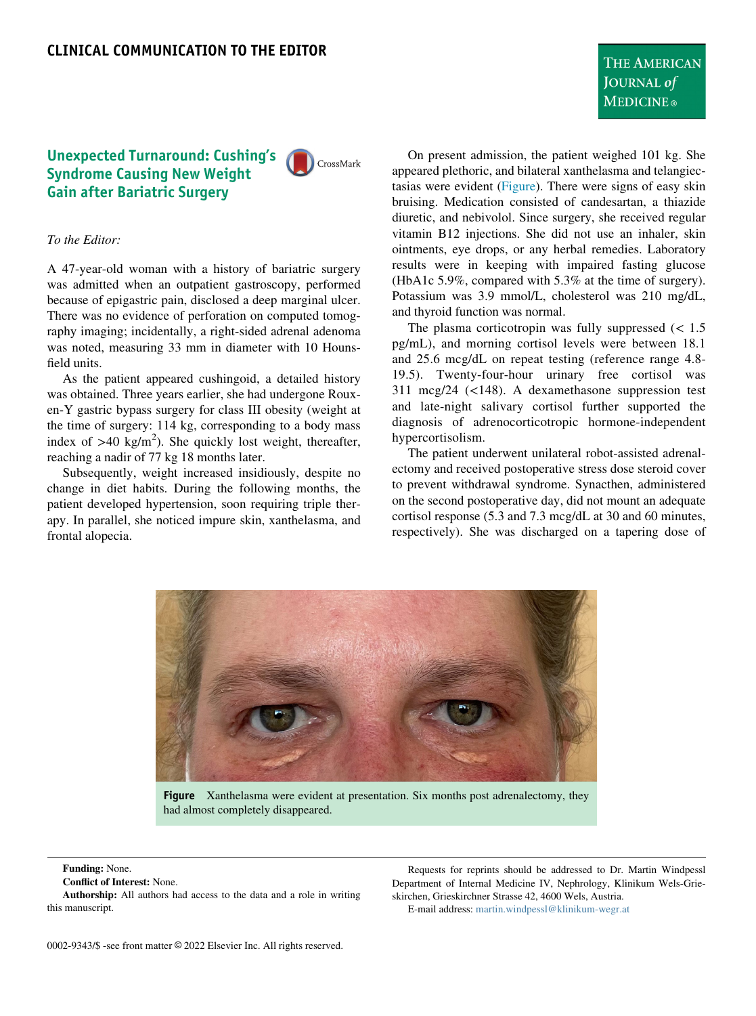# Unexpected Turnaround: Cushing's Syndrome Causing New Weight Gain after Bariatric Surgery

CrossMark

### To the Editor:

A 47-year-old woman with a history of bariatric surgery was admitted when an outpatient gastroscopy, performed because of epigastric pain, disclosed a deep marginal ulcer. There was no evidence of perforation on computed tomography imaging; incidentally, a right-sided adrenal adenoma was noted, measuring 33 mm in diameter with 10 Hounsfield units.

As the patient appeared cushingoid, a detailed history was obtained. Three years earlier, she had undergone Rouxen-Y gastric bypass surgery for class III obesity (weight at the time of surgery: 114 kg, corresponding to a body mass index of  $>40 \text{ kg/m}^2$ ). She quickly lost weight, thereafter, reaching a nadir of 77 kg 18 months later.

<span id="page-0-0"></span>Subsequently, weight increased insidiously, despite no change in diet habits. During the following months, the patient developed hypertension, soon requiring triple therapy. In parallel, she noticed impure skin, xanthelasma, and frontal alopecia.

On present admission, the patient weighed 101 kg. She appeared plethoric, and bilateral xanthelasma and telangiec-tasias were evident [\(Figure](#page-0-0)). There were signs of easy skin bruising. Medication consisted of candesartan, a thiazide diuretic, and nebivolol. Since surgery, she received regular vitamin B12 injections. She did not use an inhaler, skin ointments, eye drops, or any herbal remedies. Laboratory results were in keeping with impaired fasting glucose (HbA1c 5.9%, compared with 5.3% at the time of surgery). Potassium was 3.9 mmol/L, cholesterol was 210 mg/dL, and thyroid function was normal.

The plasma corticotropin was fully suppressed  $\leq 1.5$ pg/mL), and morning cortisol levels were between 18.1 and 25.6 mcg/dL on repeat testing (reference range 4.8- 19.5). Twenty-four-hour urinary free cortisol was 311 mcg/24 (<148). A dexamethasone suppression test and late-night salivary cortisol further supported the diagnosis of adrenocorticotropic hormone-independent hypercortisolism.

The patient underwent unilateral robot-assisted adrenalectomy and received postoperative stress dose steroid cover to prevent withdrawal syndrome. Synacthen, administered on the second postoperative day, did not mount an adequate cortisol response (5.3 and 7.3 mcg/dL at 30 and 60 minutes, respectively). She was discharged on a tapering dose of



had almost completely disappeared.

#### Funding: None.

Conflict of Interest: None.

Authorship: All authors had access to the data and a role in writing this manuscript.

Requests for reprints should be addressed to Dr. Martin Windpessl Department of Internal Medicine IV, Nephrology, Klinikum Wels-Grieskirchen, Grieskirchner Strasse 42, 4600 Wels, Austria.

E-mail address: [martin.windpessl@klinikum-wegr.at](mailto:martin.windpessl@klinikum-wegr.at)